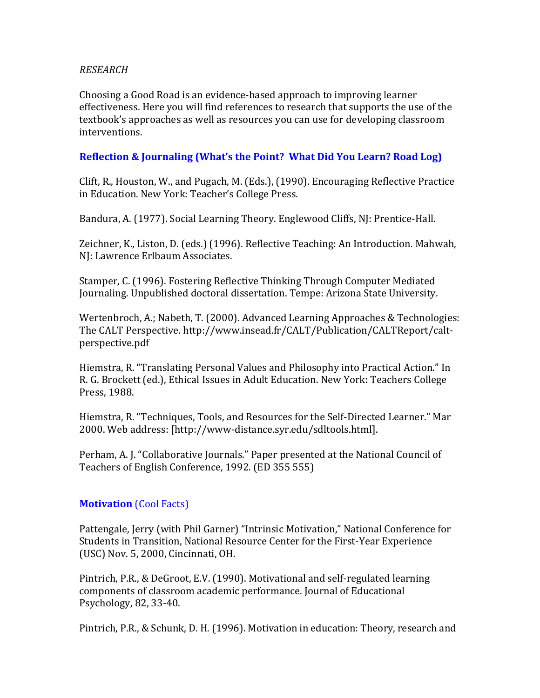#### *RESEARCH*

Choosing a Good Road is an evidence-based approach to improving learner effectiveness. Here you will find references to research that supports the use of the textbook's approaches as well as resources you can use for developing classroom interventions.

### **Reflection & Journaling (What's the Point? What Did You Learn? Road Log)**

Clift, R., Houston, W., and Pugach, M. (Eds.), (1990). Encouraging Reflective Practice in Education. New York: Teacher's College Press.

Bandura, A. (1977). Social Learning Theory. Englewood Cliffs, NJ: Prentice-Hall.

Zeichner, K., Liston, D. (eds.)(1996). Reflective Teaching: An Introduction. Mahwah, NJ: Lawrence Erlbaum Associates.

Stamper, C. (1996). Fostering Reflective Thinking Through Computer Mediated Journaling. Unpublished doctoral dissertation. Tempe: Arizona State University.

Wertenbroch, A.; Nabeth, T. (2000). Advanced Learning Approaches & Technologies: The CALT Perspective. http://www.insead.fr/CALT/Publication/CALTReport/caltperspective.pdf

Hiemstra, R. "Translating Personal Values and Philosophy into Practical Action." In R. G. Brockett (ed.), Ethical Issues in Adult Education. New York: Teachers College Press, 1988.

Hiemstra, R. "Techniques, Tools, and Resources for the Self-Directed Learner." Mar 2000. Web address: [http://www-distance.syr.edu/sdltools.html].

Perham, A.J. "Collaborative Journals." Paper presented at the National Council of Teachers of English Conference, 1992. (ED 355 555)

### **Motivation** (Cool Facts)

Pattengale, Jerry (with Phil Garner) "Intrinsic Motivation," National Conference for Students in Transition, National Resource Center for the First-Year Experience (USC) Nov. 5, 2000, Cincinnati, OH.

Pintrich, P.R., & DeGroot, E.V. (1990). Motivational and self-regulated learning components of classroom academic performance. Journal of Educational Psychology, 82, 33-40.

Pintrich, P.R., & Schunk, D. H. (1996). Motivation in education: Theory, research and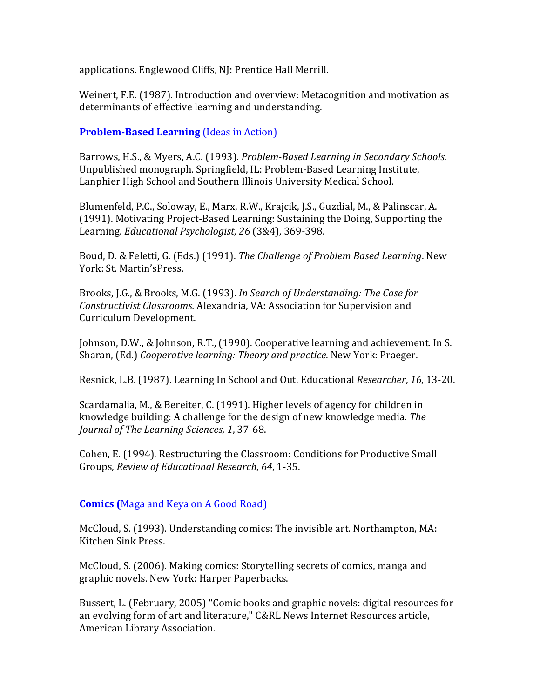applications. Englewood Cliffs, NJ: Prentice Hall Merrill.

Weinert, F.E. (1987). Introduction and overview: Metacognition and motivation as determinants of effective learning and understanding.

**Problem-Based Learning** (Ideas in Action)

Barrows, H.S., & Myers, A.C. (1993). *Problem-Based Learning in Secondary Schools.* Unpublished monograph. Springfield, IL: Problem-Based Learning Institute, Lanphier High School and Southern Illinois University Medical School.

Blumenfeld, P.C., Soloway, E., Marx, R.W., Krajcik, J.S., Guzdial, M., & Palinscar, A. (1991). Motivating Project-Based Learning: Sustaining the Doing, Supporting the Learning. *Educational Psychologist*, 26 (3&4), 369-398.

Boud, D. & Feletti, G. (Eds.) (1991). *The Challenge of Problem Based Learning*. New York: St. Martin'sPress.

Brooks, J.G., & Brooks, M.G. (1993). *In Search of Understanding: The Case for Constructivist Classrooms. Alexandria, VA: Association for Supervision and* Curriculum Development.

Johnson, D.W., & Johnson, R.T., (1990). Cooperative learning and achievement. In S. Sharan, (Ed.) *Cooperative learning: Theory and practice*. New York: Praeger.

Resnick, L.B. (1987). Learning In School and Out. Educational *Researcher*, 16, 13-20.

Scardamalia, M., & Bereiter, C. (1991). Higher levels of agency for children in knowledge building: A challenge for the design of new knowledge media. The *Journal of The Learning Sciences, 1, 37-68.* 

Cohen, E. (1994). Restructuring the Classroom: Conditions for Productive Small Groups, *Review of Educational Research*, 64, 1-35.

# **Comics (Maga and Keya on A Good Road)**

McCloud, S. (1993). Understanding comics: The invisible art. Northampton, MA: Kitchen Sink Press.

McCloud, S. (2006). Making comics: Storytelling secrets of comics, manga and graphic novels. New York: Harper Paperbacks.

Bussert, L. (February, 2005) "Comic books and graphic novels: digital resources for an evolving form of art and literature," C&RL News Internet Resources article, American Library Association.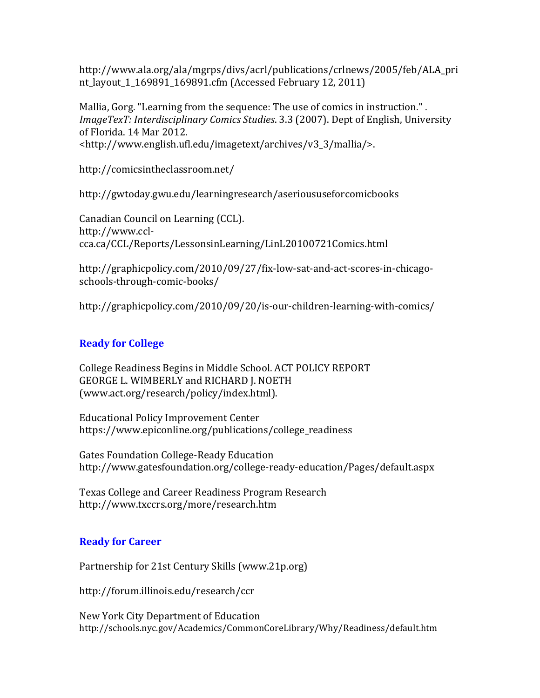http://www.ala.org/ala/mgrps/divs/acrl/publications/crlnews/2005/feb/ALA\_pri nt\_layout\_1\_169891\_169891.cfm (Accessed February 12, 2011)

Mallia, Gorg. "Learning from the sequence: The use of comics in instruction.". *ImageTexT: Interdisciplinary Comics Studies.* 3.3 (2007). Dept of English, University of Florida. 14 Mar 2012. <http://www.english.ufl.edu/imagetext/archives/v3\_3/mallia/>.

http://comicsintheclassroom.net/

http://gwtoday.gwu.edu/learningresearch/aserioususeforcomicbooks

Canadian Council on Learning (CCL). http://www.cclcca.ca/CCL/Reports/LessonsinLearning/LinL20100721Comics.html

http://graphicpolicy.com/2010/09/27/fix-low-sat-and-act-scores-in-chicagoschools-through-comic-books/

http://graphicpolicy.com/2010/09/20/is-our-children-learning-with-comics/

## **Ready for College**

College Readiness Begins in Middle School. ACT POLICY REPORT GEORGE L. WIMBERLY and RICHARD J. NOETH (www.act.org/research/policy/index.html).

Educational Policy Improvement Center https://www.epiconline.org/publications/college\_readiness

Gates Foundation College-Ready Education http://www.gatesfoundation.org/college-ready-education/Pages/default.aspx

Texas College and Career Readiness Program Research http://www.txccrs.org/more/research.htm

### **Ready for Career**

Partnership for 21st Century Skills (www.21p.org)

http://forum.illinois.edu/research/ccr

New York City Department of Education http://schools.nyc.gov/Academics/CommonCoreLibrary/Why/Readiness/default.htm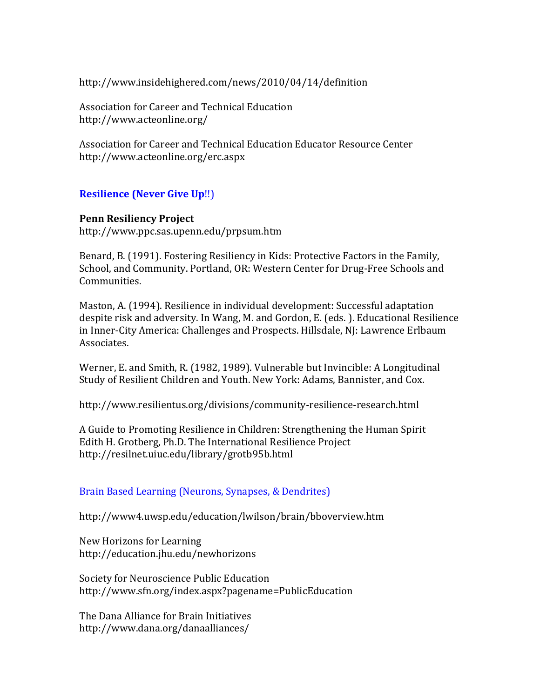http://www.insidehighered.com/news/2010/04/14/definition

Association for Career and Technical Education http://www.acteonline.org/

Association for Career and Technical Education Educator Resource Center http://www.acteonline.org/erc.aspx

### **Resilience (Never Give Up!!)**

#### **Penn Resiliency Project**

http://www.ppc.sas.upenn.edu/prpsum.htm

Benard, B. (1991). Fostering Resiliency in Kids: Protective Factors in the Family, School, and Community. Portland, OR: Western Center for Drug-Free Schools and Communities.

Maston, A. (1994). Resilience in individual development: Successful adaptation despite risk and adversity. In Wang, M. and Gordon, E. (eds.). Educational Resilience in Inner-City America: Challenges and Prospects. Hillsdale, NJ: Lawrence Erlbaum Associates.

Werner, E. and Smith, R. (1982, 1989). Vulnerable but Invincible: A Longitudinal Study of Resilient Children and Youth. New York: Adams, Bannister, and Cox.

http://www.resilientus.org/divisions/community-resilience-research.html

A Guide to Promoting Resilience in Children: Strengthening the Human Spirit Edith H. Grotberg, Ph.D. The International Resilience Project http://resilnet.uiuc.edu/library/grotb95b.html

### Brain Based Learning (Neurons, Synapses, & Dendrites)

http://www4.uwsp.edu/education/lwilson/brain/bboverview.htm

New Horizons for Learning http://education.jhu.edu/newhorizons

Society for Neuroscience Public Education http://www.sfn.org/index.aspx?pagename=PublicEducation

The Dana Alliance for Brain Initiatives http://www.dana.org/danaalliances/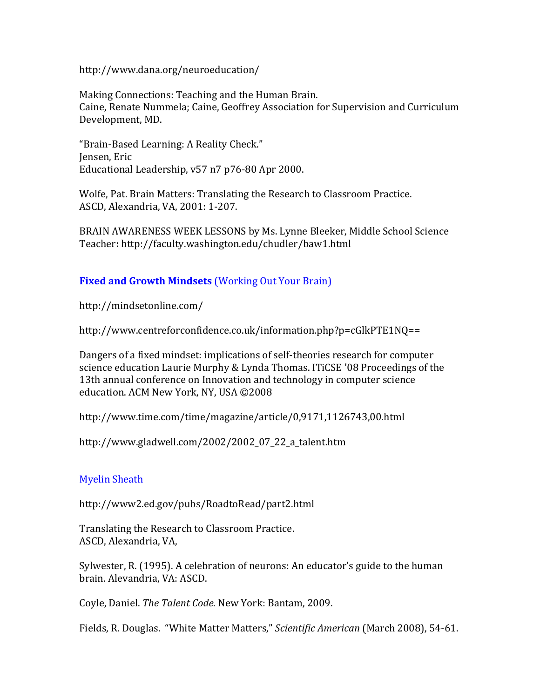http://www.dana.org/neuroeducation/

Making Connections: Teaching and the Human Brain. Caine, Renate Nummela; Caine, Geoffrey Association for Supervision and Curriculum Development, MD.

"Brain-Based Learning: A Reality Check." Jensen, Eric Educational Leadership, v57 n7 p76-80 Apr 2000.

Wolfe, Pat. Brain Matters: Translating the Research to Classroom Practice. ASCD, Alexandria, VA, 2001: 1-207.

BRAIN AWARENESS WEEK LESSONS by Ms. Lynne Bleeker, Middle School Science Teacher**:\***http://faculty.washington.edu/chudler/baw1.html

## **Fixed and Growth Mindsets** (Working Out Your Brain)

http://mindsetonline.com/

http://www.centreforconfidence.co.uk/information.php?p=cGlkPTE1NQ==

Dangers of a fixed mindset: implications of self-theories research for computer science education Laurie Murphy & Lynda Thomas. ITiCSE '08 Proceedings of the 13th annual conference on Innovation and technology in computer science education. ACM New York, NY, USA ©2008

http://www.time.com/time/magazine/article/0,9171,1126743,00.html

http://www.gladwell.com/2002/2002\_07\_22\_a\_talent.htm

### **Myelin Sheath**

http://www2.ed.gov/pubs/RoadtoRead/part2.html

Translating the Research to Classroom Practice. ASCD, Alexandria, VA,

Sylwester, R. (1995). A celebration of neurons: An educator's guide to the human brain. Alevandria, VA: ASCD.

Coyle, Daniel. The Talent Code. New York: Bantam, 2009.

Fields, R. Douglas. "White Matter Matters," *Scientific American* (March 2008), 54-61.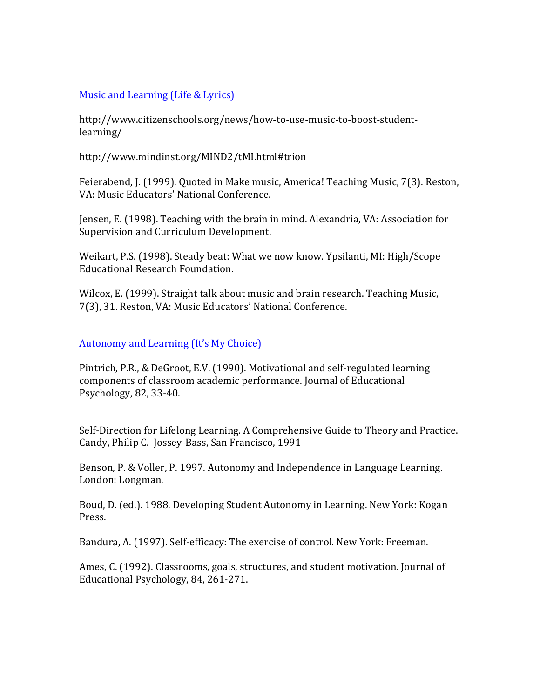### Music and Learning (Life  $&$  Lyrics)

http://www.citizenschools.org/news/how-to-use-music-to-boost-studentlearning/

http://www.mindinst.org/MIND2/tMI.html#trion

Feierabend, J. (1999). Quoted in Make music, America! Teaching Music, 7(3). Reston, VA: Music Educators' National Conference.

Jensen, E. (1998). Teaching with the brain in mind. Alexandria, VA: Association for Supervision and Curriculum Development.

Weikart, P.S. (1998). Steady beat: What we now know. Ypsilanti, MI: High/Scope Educational Research Foundation.

Wilcox, E. (1999). Straight talk about music and brain research. Teaching Music, 7(3), 31. Reston, VA: Music Educators' National Conference.

#### Autonomy and Learning (It's My Choice)

Pintrich, P.R., & DeGroot, E.V. (1990). Motivational and self-regulated learning components of classroom academic performance. Journal of Educational Psychology, 82, 33-40.

Self-Direction for Lifelong Learning. A Comprehensive Guide to Theory and Practice. Candy, Philip C. Jossey-Bass, San Francisco, 1991

Benson, P. & Voller, P. 1997. Autonomy and Independence in Language Learning. London: Longman.

Boud, D. (ed.). 1988. Developing Student Autonomy in Learning. New York: Kogan Press.

Bandura, A. (1997). Self-efficacy: The exercise of control. New York: Freeman.

Ames, C. (1992). Classrooms, goals, structures, and student motivation. Journal of Educational Psychology, 84, 261-271.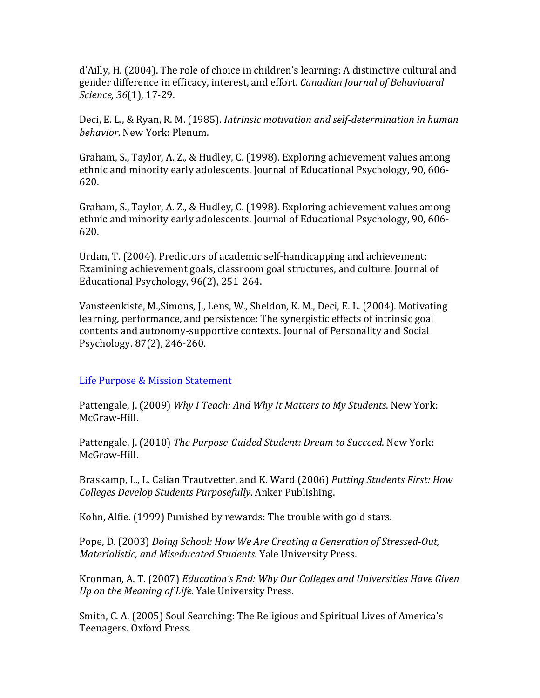d'Ailly, H. (2004). The role of choice in children's learning: A distinctive cultural and gender difference in efficacy, interest, and effort. Canadian Journal of Behavioural *Science,* 36(1), 17-29.

Deci, E. L., & Ryan, R. M. (1985). *Intrinsic motivation and self-determination in human behavior.* New York: Plenum.

Graham, S., Taylor, A. Z., & Hudley, C. (1998). Exploring achievement values among ethnic and minority early adolescents. Journal of Educational Psychology, 90, 606-620.

Graham, S., Taylor, A. Z., & Hudley, C. (1998). Exploring achievement values among ethnic and minority early adolescents. Journal of Educational Psychology, 90, 606-620.

Urdan, T. (2004). Predictors of academic self-handicapping and achievement: Examining achievement goals, classroom goal structures, and culture. Journal of Educational Psychology, 96(2), 251-264.

Vansteenkiste, M.,Simons, J., Lens, W., Sheldon, K. M., Deci, E. L. (2004). Motivating learning, performance, and persistence: The synergistic effects of intrinsic goal contents and autonomy-supportive contexts. Journal of Personality and Social Psychology. 87(2), 246-260.

### Life Purpose & Mission Statement

Pattengale, J. (2009) *Why I Teach: And Why It Matters to My Students*. New York: McGraw-Hill.

Pattengale, J. (2010) The Purpose-Guided Student: Dream to Succeed. New York: McGraw-Hill.

Braskamp, L., L. Calian Trautvetter, and K. Ward (2006) Putting Students First: How *Colleges Develop Students Purposefully. Anker Publishing.* 

Kohn, Alfie. (1999) Punished by rewards: The trouble with gold stars.

Pope, D. (2003) *Doing School: How We Are Creating a Generation of Stressed-Out, Materialistic, and Miseducated Students*. Yale University Press.

Kronman, A.T. (2007) *Education's End: Why Our Colleges and Universities Have Given Up on the Meaning of Life*. Yale University Press.

Smith, C. A. (2005) Soul Searching: The Religious and Spiritual Lives of America's Teenagers. Oxford Press.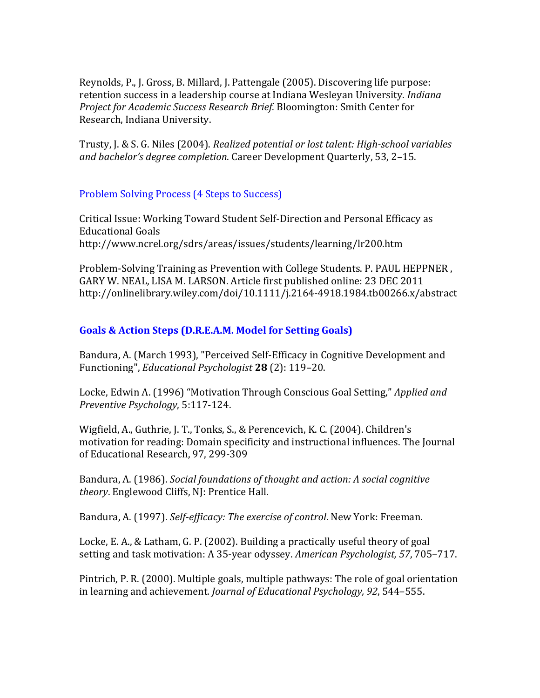Reynolds, P., J. Gross, B. Millard, J. Pattengale (2005). Discovering life purpose: retention success in a leadership course at Indiana Wesleyan University. *Indiana Project for Academic Success Research Brief. Bloomington: Smith Center for* Research, Indiana University.

Trusty, J. & S. G. Niles (2004). *Realized potential or lost talent: High-school variables* and bachelor's degree completion. Career Development Quarterly, 53, 2-15.

### Problem Solving Process (4 Steps to Success)

Critical Issue: Working Toward Student Self-Direction and Personal Efficacy as Educational Goals http://www.ncrel.org/sdrs/areas/issues/students/learning/lr200.htm

Problem-Solving Training as Prevention with College Students. P. PAUL HEPPNER, GARY W. NEAL, LISA M. LARSON. Article first published online: 23 DEC 2011 http://onlinelibrary.wiley.com/doi/10.1111/j.2164-4918.1984.tb00266.x/abstract

# Goals & Action Steps (D.R.E.A.M. Model for Setting Goals)

Bandura, A. (March 1993), "Perceived Self-Efficacy in Cognitive Development and Functioning", *Educational Psychologist* 28 (2): 119–20.

Locke, Edwin A. (1996) "Motivation Through Conscious Goal Setting," *Applied and Preventive Psychology*, 5:117-124.

Wigfield, A., Guthrie, J. T., Tonks, S., & Perencevich, K. C. (2004). Children's motivation for reading: Domain specificity and instructional influences. The Journal of Educational Research, 97, 299-309

Bandura, A. (1986). Social foundations of thought and action: A social cognitive *theory*. Englewood Cliffs, NJ: Prentice Hall.

Bandura, A. (1997). Self-efficacy: The exercise of control. New York: Freeman.

Locke, E. A., & Latham, G. P. (2002). Building a practically useful theory of goal setting and task motivation: A 35-year odyssey. American Psychologist, 57, 705–717.

Pintrich, P.R. (2000). Multiple goals, multiple pathways: The role of goal orientation in learning and achievement. *Journal of Educational Psychology*, 92, 544–555.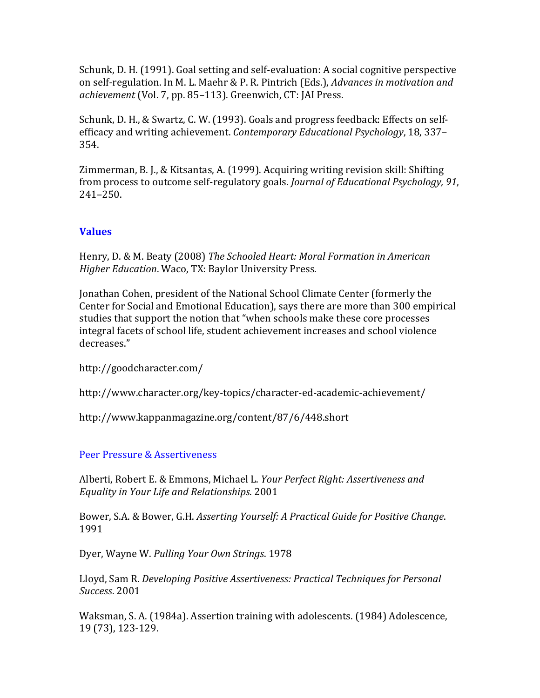Schunk, D. H. (1991). Goal setting and self-evaluation: A social cognitive perspective on self-regulation. In M. L. Maehr & P. R. Pintrich (Eds.), *Advances in motivation and achievement* (Vol. 7, pp. 85–113). Greenwich, CT: JAI Press.

Schunk, D.H., & Swartz, C.W. (1993). Goals and progress feedback: Effects on selfefficacy and writing achievement. *Contemporary Educational Psychology*, 18, 337– 354.

Zimmerman, B.J., & Kitsantas, A. (1999). Acquiring writing revision skill: Shifting from process to outcome self-regulatory goals. *Journal of Educational Psychology*, 91, 241–250.

# **Values**

Henry, D. & M. Beaty (2008) The Schooled Heart: Moral Formation in American *Higher Education*. Waco, TX: Baylor University Press.

Jonathan Cohen, president of the National School Climate Center (formerly the Center for Social and Emotional Education), says there are more than 300 empirical studies that support the notion that "when schools make these core processes integral facets of school life, student achievement increases and school violence decreases."

http://goodcharacter.com/

http://www.character.org/key-topics/character-ed-academic-achievement/

http://www.kappanmagazine.org/content/87/6/448.short

Peer Pressure & Assertiveness

Alberti, Robert E. & Emmons, Michael L. *Your Perfect Right: Assertiveness and* Equality in Your Life and Relationships. 2001

Bower, S.A. & Bower, G.H. *Asserting Yourself: A Practical Guide for Positive Change.* 1991(

Dyer, Wayne W. Pulling Your Own Strings. 1978

Lloyd, Sam R. *Developing Positive Assertiveness: Practical Techniques for Personal Success*.(2001

Waksman, S. A. (1984a). Assertion training with adolescents. (1984) Adolescence, 19(73), 123-129.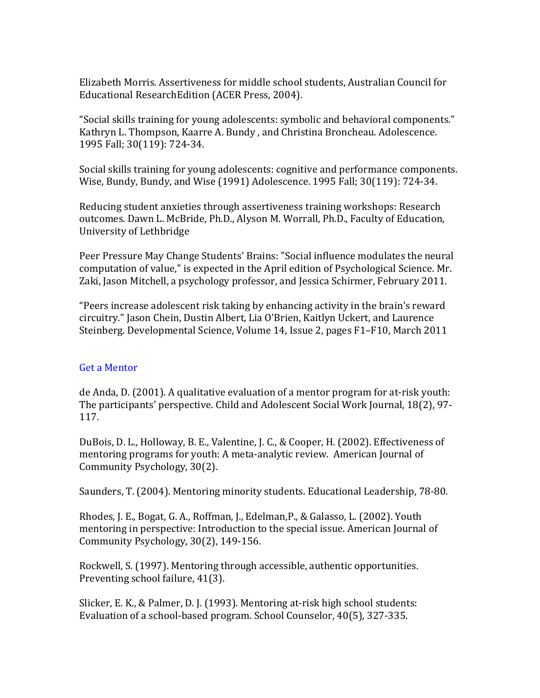Elizabeth Morris. Assertiveness for middle school students, Australian Council for Educational ResearchEdition (ACER Press, 2004).

"Social skills training for young adolescents: symbolic and behavioral components." Kathryn L. Thompson, Kaarre A. Bundy, and Christina Broncheau. Adolescence. 1995 Fall; 30(119): 724-34.

Social skills training for young adolescents: cognitive and performance components. Wise, Bundy, Bundy, and Wise (1991) Adolescence. 1995 Fall; 30(119): 724-34.

Reducing student anxieties through assertiveness training workshops: Research outcomes. Dawn L. McBride, Ph.D., Alyson M. Worrall, Ph.D., Faculty of Education, University of Lethbridge

Peer Pressure May Change Students' Brains: "Social influence modulates the neural computation of value," is expected in the April edition of Psychological Science. Mr. Zaki, Jason Mitchell, a psychology professor, and Jessica Schirmer, February 2011.

"Peers increase adolescent risk taking by enhancing activity in the brain's reward circuitry." Jason Chein, Dustin Albert, Lia O'Brien, Kaitlyn Uckert, and Laurence Steinberg. Developmental Science, Volume 14, Issue 2, pages F1–F10, March 2011

#### Get a Mentor

de Anda, D. (2001). A qualitative evaluation of a mentor program for at-risk youth: The participants' perspective. Child and Adolescent Social Work Journal, 18(2), 97-117.

DuBois, D. L., Holloway, B. E., Valentine, J. C., & Cooper, H. (2002). Effectiveness of mentoring programs for youth: A meta-analytic review. American Journal of Community Psychology, 30(2).

Saunders, T. (2004). Mentoring minority students. Educational Leadership, 78-80.

Rhodes, J. E., Bogat, G. A., Roffman, J., Edelman,P., & Galasso, L. (2002). Youth mentoring in perspective: Introduction to the special issue. American Journal of Community Psychology,  $30(2)$ , 149-156.

Rockwell, S. (1997). Mentoring through accessible, authentic opportunities. Preventing school failure, 41(3).

Slicker, E.K., & Palmer, D. J. (1993). Mentoring at-risk high school students: Evaluation of a school-based program. School Counselor, 40(5), 327-335.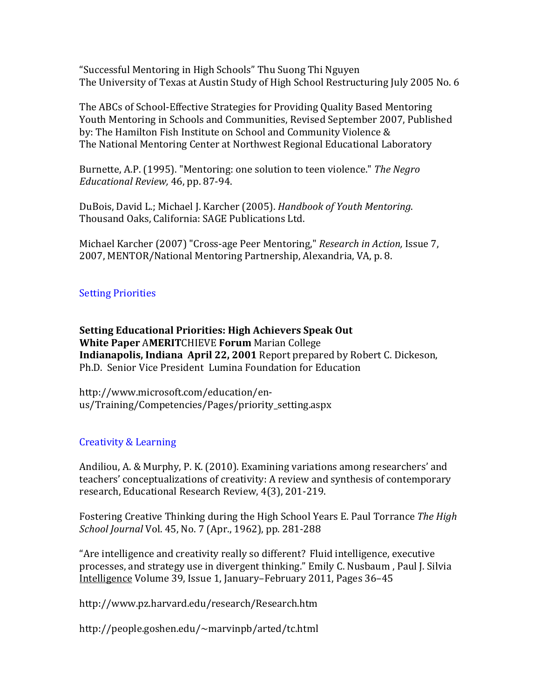"Successful Mentoring in High Schools" Thu Suong Thi Nguyen The University of Texas at Austin Study of High School Restructuring July 2005 No. 6

The ABCs of School-Effective Strategies for Providing Quality Based Mentoring Youth Mentoring in Schools and Communities, Revised September 2007, Published by: The Hamilton Fish Institute on School and Community Violence & The National Mentoring Center at Northwest Regional Educational Laboratory

Burnette, A.P. (1995). "Mentoring: one solution to teen violence." *The Negro Educational Review,* 46, pp. 87-94.

DuBois, David L.; Michael J. Karcher (2005). *Handbook of Youth Mentoring*. Thousand Oaks, California: SAGE Publications Ltd.

Michael Karcher (2007) "Cross-age Peer Mentoring," *Research in Action*, Issue 7, 2007, MENTOR/National Mentoring Partnership, Alexandria, VA, p. 8.

# **Setting Priorities**

**Setting\*Educational\*Priorities: High\*Achievers\*Speak\*Out White Paper AMERIT**CHIEVE **Forum** Marian College **Indianapolis, Indiana April 22, 2001** Report prepared by Robert C. Dickeson, Ph.D. Senior Vice President Lumina Foundation for Education

http://www.microsoft.com/education/enus/Training/Competencies/Pages/priority\_setting.aspx

# Creativity & Learning

Andiliou, A. & Murphy, P. K. (2010). Examining variations among researchers' and teachers' conceptualizations of creativity: A review and synthesis of contemporary research, Educational Research Review, 4(3), 201-219.

Fostering Creative Thinking during the High School Years E. Paul Torrance The High *School Journal Vol.* 45, No. 7 (Apr., 1962), pp. 281-288

"Are intelligence and creativity really so different? Fluid intelligence, executive processes, and strategy use in divergent thinking." Emily C. Nusbaum, Paul J. Silvia Intelligence Volume 39, Issue 1, January–February 2011, Pages 36–45

http://www.pz.harvard.edu/research/Research.htm

http://people.goshen.edu/~marvinpb/arted/tc.html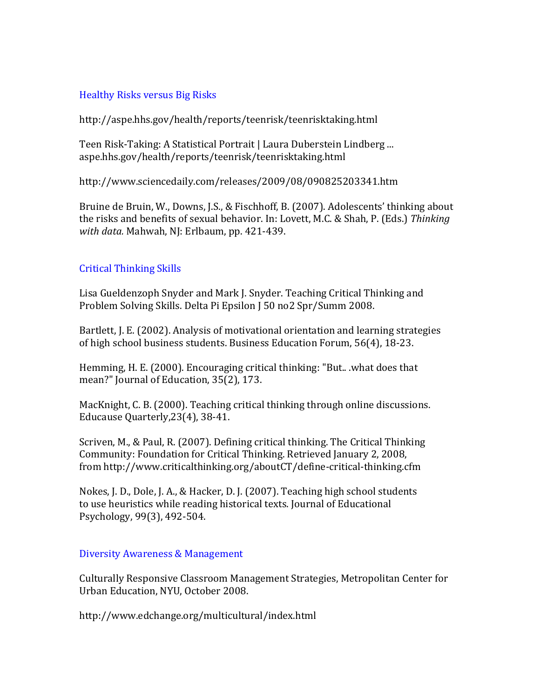### Healthy Risks versus Big Risks

http://aspe.hhs.gov/health/reports/teenrisk/teenrisktaking.html

Teen Risk-Taking: A Statistical Portrait | Laura Duberstein Lindberg ... aspe.hhs.gov/health/reports/teenrisk/teenrisktaking.html

http://www.sciencedaily.com/releases/2009/08/090825203341.htm

Bruine de Bruin, W., Downs, J.S., & Fischhoff, B. (2007). Adolescents' thinking about the risks and benefits of sexual behavior. In: Lovett, M.C. & Shah, P. (Eds.) Thinking *with data.* Mahwah, NJ: Erlbaum, pp. 421-439.

## **Critical Thinking Skills**

Lisa Gueldenzoph Snyder and Mark J. Snyder. Teaching Critical Thinking and Problem Solving Skills. Delta Pi Epsilon J 50 no2 Spr/Summ 2008.

Bartlett, J. E. (2002). Analysis of motivational orientation and learning strategies of high school business students. Business Education Forum, 56(4), 18-23.

Hemming, H. E. (2000). Encouraging critical thinking: "But...what does that mean?" Journal of Education, 35(2), 173.

MacKnight, C. B. (2000). Teaching critical thinking through online discussions. Educause Quarterly, 23(4), 38-41.

Scriven, M., & Paul, R. (2007). Defining critical thinking. The Critical Thinking Community: Foundation for Critical Thinking. Retrieved January 2, 2008, from http://www.criticalthinking.org/aboutCT/define-critical-thinking.cfm

Nokes, J. D., Dole, J. A., & Hacker, D. J. (2007). Teaching high school students to use heuristics while reading historical texts. Journal of Educational Psychology, 99(3), 492-504.

### Diversity Awareness & Management

Culturally Responsive Classroom Management Strategies, Metropolitan Center for Urban Education, NYU, October 2008.

http://www.edchange.org/multicultural/index.html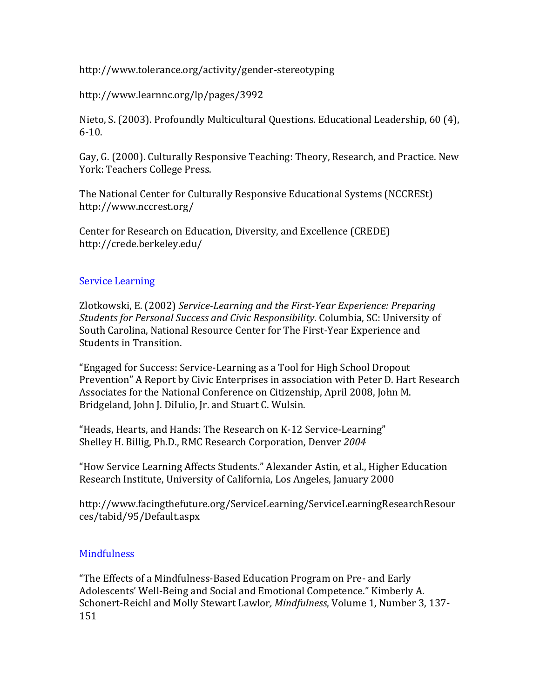http://www.tolerance.org/activity/gender-stereotyping

http://www.learnnc.org/lp/pages/3992

Nieto, S. (2003). Profoundly Multicultural Questions. Educational Leadership, 60 (4),  $6-10.$ 

Gay, G. (2000). Culturally Responsive Teaching: Theory, Research, and Practice. New York: Teachers College Press.

The National Center for Culturally Responsive Educational Systems (NCCRESt) http://www.nccrest.org/

Center for Research on Education, Diversity, and Excellence (CREDE) http://crede.berkeley.edu/

### **Service Learning**

Zlotkowski, E. (2002) Service-Learning and the First-Year Experience: Preparing *Students for Personal Success and Civic Responsibility*. Columbia, SC: University of South Carolina, National Resource Center for The First-Year Experience and Students in Transition.

"Engaged for Success: Service-Learning as a Tool for High School Dropout Prevention" A Report by Civic Enterprises in association with Peter D. Hart Research Associates for the National Conference on Citizenship, April 2008, John M. Bridgeland, John J. DiIulio, Jr. and Stuart C. Wulsin.

"Heads, Hearts, and Hands: The Research on K-12 Service-Learning" Shelley H. Billig, Ph.D., RMC Research Corporation, Denver 2004

"How Service Learning Affects Students." Alexander Astin, et al., Higher Education Research Institute, University of California, Los Angeles, January 2000

http://www.facingthefuture.org/ServiceLearning/ServiceLearningResearchResour ces/tabid/95/Default.aspx

# **Mindfulness**

"The Effects of a Mindfulness-Based Education Program on Pre- and Early Adolescents' Well-Being and Social and Emotional Competence." Kimberly A. Schonert-Reichl and Molly Stewart Lawlor, *Mindfulness*, Volume 1, Number 3, 137-151